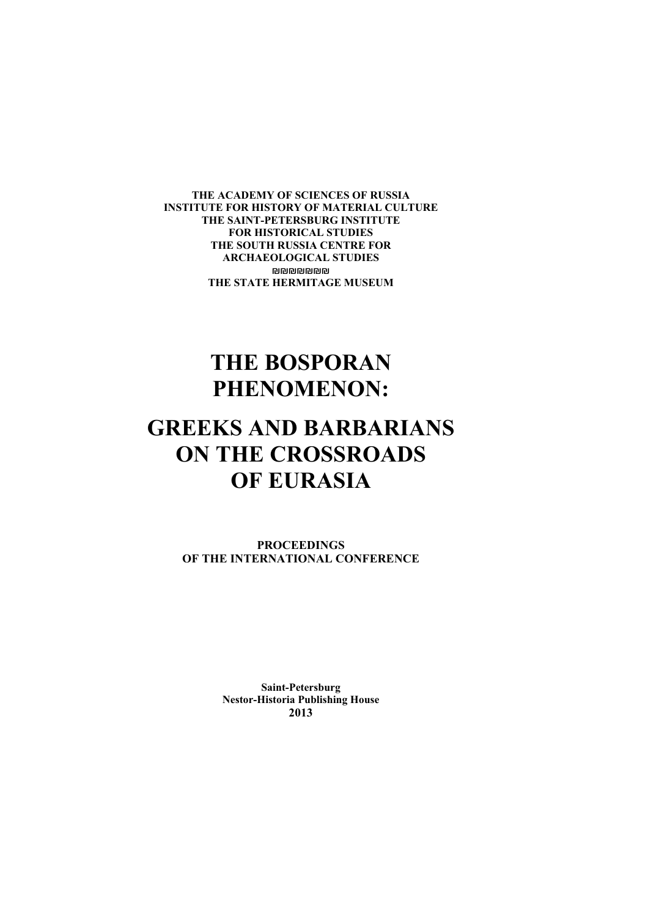**THE ACADEMY OF SCIENCES OF RUSSIA<br>INSTITUTE FOR HISTORY OF MATERIAL CULTURE INSTITUTE FOR AINT-PETERSBURG INSTITUTE FOR HISTORICAL STUDIES THE SOUTH RUSSIA CENTRE FOR ARCHAEOLOGICAL STUDIES ARCHAEOLOGICAL STUDIES ˀˀˀˀˀˀˀ THE STATE HERMITAGE MUSEUM** 

# **THE BOSPORAN<br>PHENOMENON:**

### **GREEKS AND BARBARIANS ON THE CROSSROADS OF EURASIA OF EURASIA**

**PROCEEDINGS<br>OF THE INTERNATIONAL CONFERENCE OF THE INTERNATIONAL CONFERENCE** 

> <u>.</u><br>Iistoria Publishin  $2013$ **2013**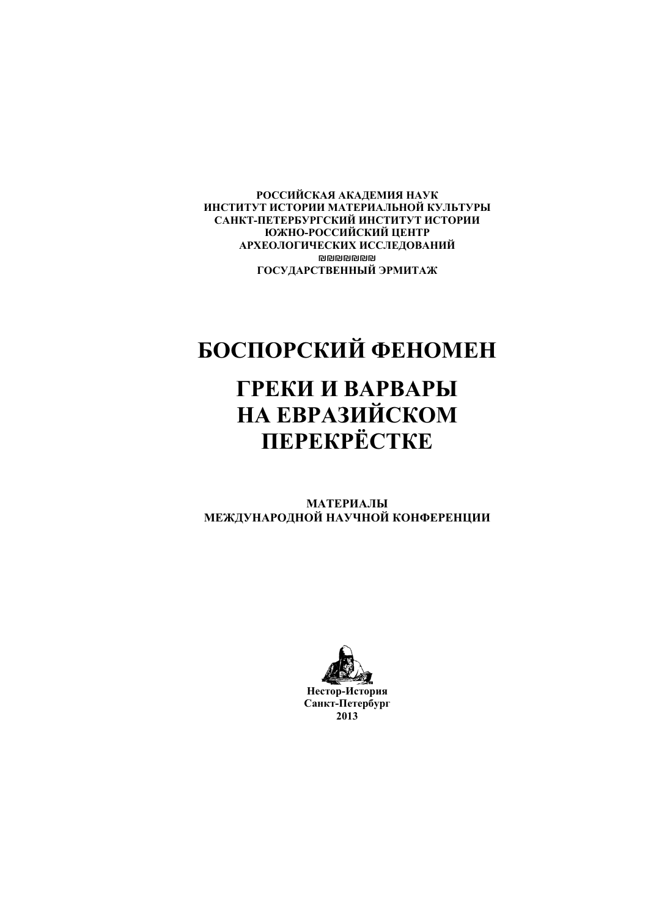РОССИЙСКАЯ АКАДЕМИЯ НАУК ИНСТИТУТ ИСТОРИИ МАТЕРИАЛЬНОЙ КУЛЬТУРЫ САНКТ-ПЕТЕРБУРГСКИЙ ИНСТИТУТ ИСТОРИИ<br>ЮЖНО-РОССИЙСКИЙ ЦЕНТР **ɘɀɇɈ-ɊɈɋɋɂɃɋɄɂɃ ɐȿɇɌɊ ȺɊɏȿɈɅɈȽɂɑȿɋɄɂɏ ɂɋɋɅȿȾɈȼȺɇɂɃ ˀˀˀˀˀˀˀ** ГОСУДАРСТВЕННЫЙ ЭРМИТАЖ

## БОСПОРСКИЙ ФЕНОМЕН

### ГРЕКИ И ВАРВАРЫ НА ЕВРАЗИЙСКОМ **THEPEKPËCTKE**

**МАТЕРИАЛЫ** МЕЖДУНАРОДНОЙ НАУЧНОЙ КОНФЕРЕНЦИИ

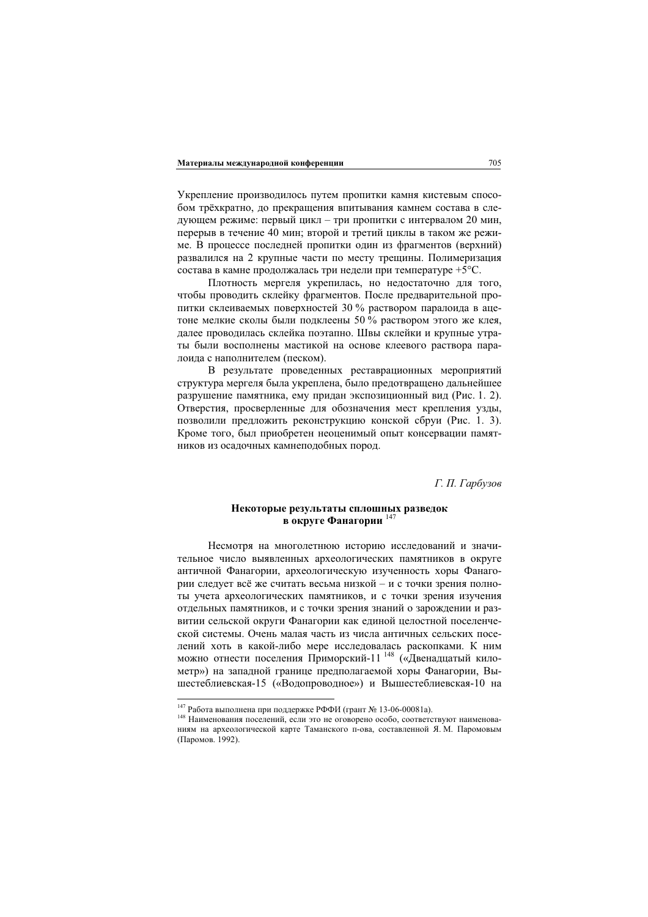Укрепление производилось путем пропитки камня кистевым способом трёхкратно, до прекращения впитывания камнем состава в следующем режиме: первый цикл – три пропитки с интервалом 20 мин, перерыв в течение 40 мин; второй и третий циклы в таком же режиме. В процессе последней пропитки один из фрагментов (верхний) развалился на 2 крупные части по месту трещины. Полимеризация  $\overline{a}$ еостава в камне продолжалась три недели при температуре +5°С.

Плотность мергеля укрепилась, но недостаточно для того, чтобы проводить склейку фрагментов. После предварительной пропитки склеиваемых поверхностей 30 % раствором паралоида в ацетоне мелкие сколы были подклеены 50 % раствором этого же клея, далее проводилась склейка поэтапно. Швы склейки и крупные утраты были восполнены мастикой на основе клеевого раствора паралоида с наполнителем (песком).

В результате проведенных реставрационных мероприятий структура мергеля была укреплена, было предотвращено дальнейшее разрушение памятника, ему придан экспозиционный вид (Рис. 1. 2). Отверстия, просверленные для обозначения мест крепления узды, позволили предложить реконструкцию конской сбруи (Рис. 1. 3). Кроме того, был приобретен неоценимый опыт консервации памятников из осадочных камнеподобных пород.

*Г*. *П*. Гарбузов

### Некоторые результаты сплошных разведок **в округе Фанагории**<sup>147</sup>

Несмотря на многолетнюю историю исследований и значительное число выявленных археологических памятников в округе античной Фанагории, археологическую изученность хоры Фанагории следует всё же считать весьма низкой – и с точки зрения полноты учета археологических памятников, и с точки зрения изучения отдельных памятников, и с точки зрения знаний о зарождении и развитии сельской округи Фанагории как единой целостной поселенческой системы. Очень малая часть из числа античных сельских поселений хоть в какой-либо мере исследовалась раскопками. К ним можно отнести поселения Приморский-11<sup>148</sup> («Двенадцатый километр») на западной границе предполагаемой хоры Фанагории, Вышестеблиевская-15 («Водопроводное») и Вышестеблиевская-10 на

<sup>&</sup>lt;sup>147</sup> Работа выполнена при поддержке РФФИ (грант № 13-06-00081а).<br><sup>148</sup> Наименования поселений, если это не оговорено особо, соответствуют наименованиям на археологической карте Таманского п-ова, составленной Я. М. Паромовым (Паромов. 1992).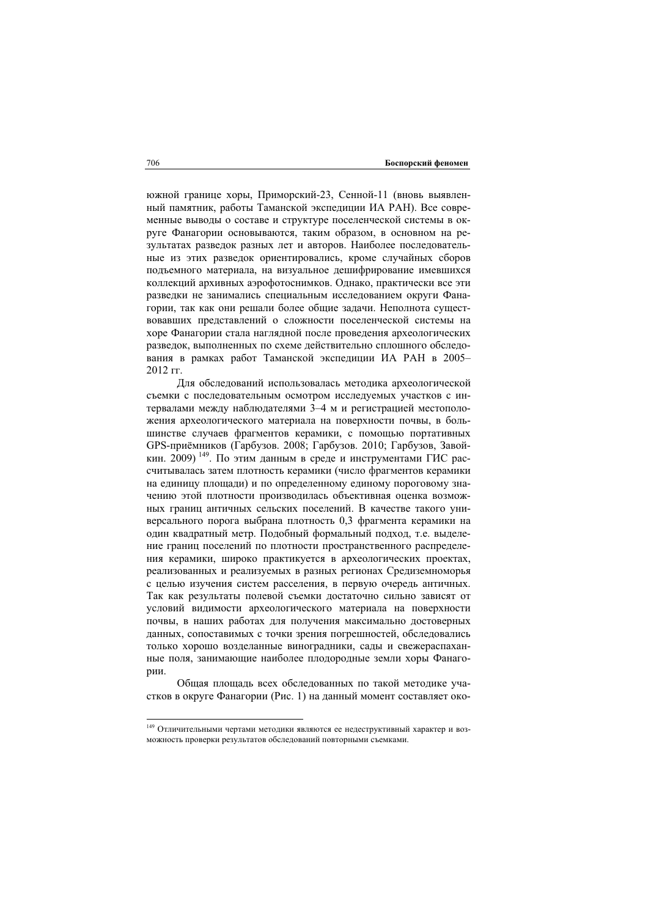южной границе хоры, Приморский-23, Сенной-11 (вновь выявленный памятник, работы Таманской экспедиции ИА РАН). Все современные выводы о составе и структуре поселенческой системы в округе Фанагории основываются, таким образом, в основном на результатах разведок разных лет и авторов. Наиболее последовательные из этих разведок ориентировались, кроме случайных сборов подъемного материала, на визуальное дешифрирование имевшихся коллекций архивных аэрофотоснимков. Однако, практически все эти разведки не занимались специальным исследованием округи Фанагории, так как они решали более обшие залачи. Неполнота существовавших представлений о сложности поселенческой системы на хоре Фанагории стала наглядной после проведения археологических развелок, выполненных по схеме лействительно сплошного обследования в рамках работ Таманской экспедиции ИА РАН в 2005– 2012 гг.

Для обследований использовалась методика археологической съемки с последовательным осмотром исследуемых участков с интервалами между наблюдателями 3–4 м и регистрацией местоположения археологического материала на поверхности почвы, в большинстве случаев фрагментов керамики, с помощью портативных GPS-приёмников (Гарбузов. 2008; Гарбузов. 2010; Гарбузов, Завойкин. 2009) <sup>149</sup>. По этим данным в среде и инструментами ГИС рассчитывалась затем плотность керамики (число фрагментов керамики на единицу площади) и по определенному единому пороговому значению этой плотности произволилась объективная оценка возможных границ античных сельских поселений. В качестве такого универсального порога выбрана плотность 0,3 фрагмента керамики на один квадратный метр. Подобный формальный подход, т.е. выделение границ поселений по плотности пространственного распределения керамики, широко практикуется в археологических проектах, реализованных и реализуемых в разных регионах Средиземноморья с целью изучения систем расселения, в первую очередь античных. Так как результаты полевой съемки достаточно сильно зависят от условий вилимости археологического материала на поверхности почвы, в наших работах для получения максимально достоверных данных, сопоставимых с точки зрения погрешностей, обследовались только хорошо возделанные виноградники, сады и свежераспаханные поля, занимающие наиболее плодородные земли хоры Фанагории.

Общая площадь всех обследованных по такой методике участков в округе Фанагории (Рис. 1) на данный момент составляет око-

<sup>149</sup> Отличительными чертами методики являются ее недеструктивный характер и возможность проверки результатов обследований повторными съемками.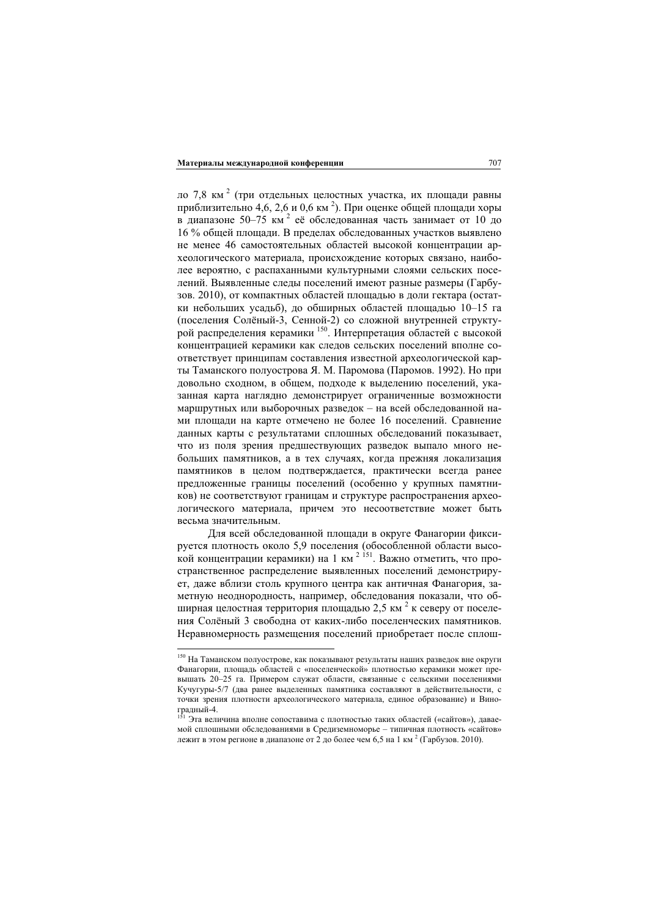ло 7,8 км<sup>2</sup> (три отдельных целостных участка, их площади равны приблизительно 4,6, 2,6 и 0,6 км<sup>2</sup>). При оценке общей площади хоры в диапазоне 50–75 км<sup>2</sup> её обследованная часть занимает от 10 до 16 % общей площади. В пределах обследованных участков выявлено не менее 46 самостоятельных областей высокой концентрации археологического материала, происхождение которых связано, наиболее вероятно, с распаханными культурными слоями сельских поселений. Выявленные следы поселений имеют разные размеры (Гарбузов. 2010), от компактных областей площадью в доли гектара (остатки небольших усадьб), до обширных областей площадью 10–15 га (поселения Солёный-3, Сенной-2) со сложной внутренней структурой распределения керамики<sup>150</sup>. Интерпретация областей с высокой концентрацией керамики как следов сельских поселений вполне соответствует принципам составления известной археологической карты Таманского полуострова Я. М. Паромова (Паромов. 1992). Но при довольно сходном, в общем, подходе к выделению поселений, указанная карта наглядно демонстрирует ограниченные возможности маршрутных или выборочных разведок – на всей обследованной нами площади на карте отмечено не более 16 поселений. Сравнение данных карты с результатами сплошных обследований показывает, что из поля зрения предшествующих разведок выпало много небольших памятников, а в тех случаях, когда прежняя локализация памятников в целом подтверждается, практически всегда ранее предложенные границы поселений (особенно у крупных памятников) не соответствуют границам и структуре распространения археологического материала, причем это несоответствие может быть весьма значительным

Для всей обследованной плошали в округе Фанагории фиксируется плотность около 5,9 поселения (обособленной области высо-. .<br>кой концентрации керамики) на 1 км<sup>2 151</sup>. Важно отметить, что пространственное распределение выявленных поселений демонстрирует, даже вблизи столь крупного центра как античная Фанагория, заметную неоднородность, например, обследования показали, что обширная целостная территория плошалью 2.5 км<sup>2</sup> к северу от поселения Солёный 3 свободна от каких-либо поселенческих памятников. Неравномерность размещения поселений приобретает после сплош-

 $^{150}\rm~Hz$  Таманском полуострове, как показывают результаты наших разведок вне округи Фанагории, площадь областей с «поселенческой» плотностью керамики может превышать 20–25 га. Примером служат области, связанные с сельскими поселениями Кучугуры-5/7 (два ранее выделенных памятника составляют в действительности, с точки зрения плотности археологического материала, единое образование) и Вино-

истаний-4.<br>градный-4.<br><sup>151</sup> Эта величина вполне сопоставима с плотностью таких областей («сайтов»), даваемой сплошными обследованиями в Средиземноморье – типичная плотность «сайтов» лежит в этом регионе в диапазоне от 2 до более чем 6,5 на 1 км<sup>2</sup> (Гарбузов. 2010).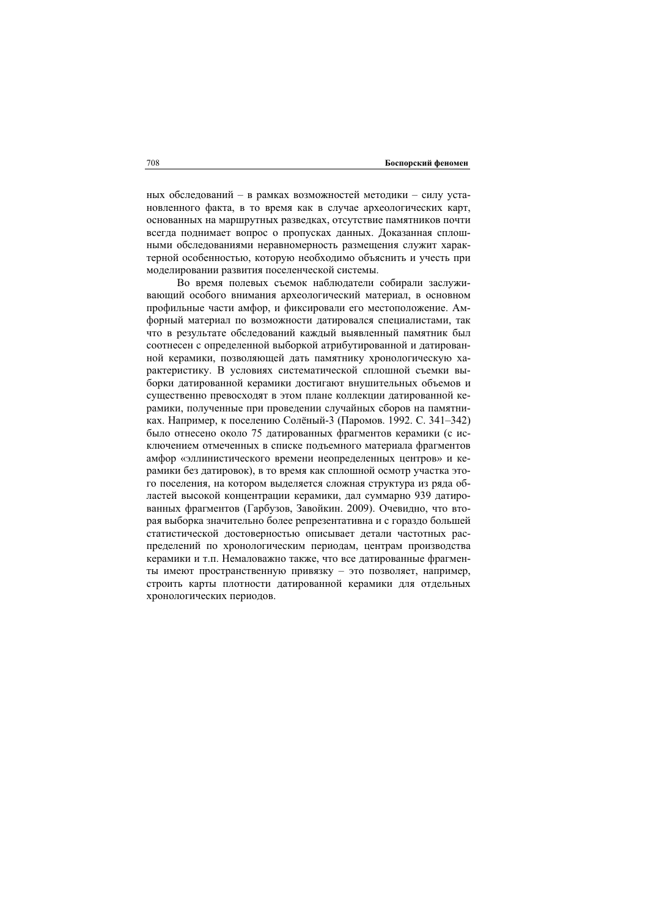ных обследований - в рамках возможностей методики - силу установленного факта, в то время как в случае археологических карт, основанных на маршрутных разведках, отсутствие памятников почти всегда поднимает вопрос о пропусках данных. Доказанная сплошными обследованиями неравномерность размещения служит характерной особенностью, которую необходимо объяснить и учесть при моделировании развития поселенческой системы.

Во время полевых съемок наблюдатели собирали заслуживающий особого внимания археологический материал, в основном профильные части амфор, и фиксировали его местоположение. Амфорный материал по возможности датировался специалистами, так что в результате обследований каждый выявленный памятник был соотнесен с определенной выборкой атрибутированной и датированной керамики, позволяющей дать памятнику хронологическую характеристику. В условиях систематической сплошной съемки выборки датированной керамики достигают внушительных объемов и существенно превосходят в этом плане коллекции датированной керамики, полученные при проведении случайных сборов на памятниках. Например, к поселению Солёный-3 (Паромов. 1992. С. 341–342) было отнесено около 75 датированных фрагментов керамики (с исключением отмеченных в списке подъемного материала фрагментов амфор «эллинистического времени неопределенных центров» и керамики без датировок), в то время как сплошной осмотр участка этого поселения, на котором выделяется сложная структура из ряда областей высокой концентрации керамики, дал суммарно 939 датированных фрагментов (Гарбузов, Завойкин. 2009). Очевидно, что вторая выборка значительно более репрезентативна и с гораздо большей статистической достоверностью описывает детали частотных распределений по хронологическим периодам, центрам производства керамики и т.п. Немаловажно также, что все датированные фрагменты имеют пространственную привязку – это позволяет, например, строить карты плотности датированной керамики для отдельных хронологических периодов.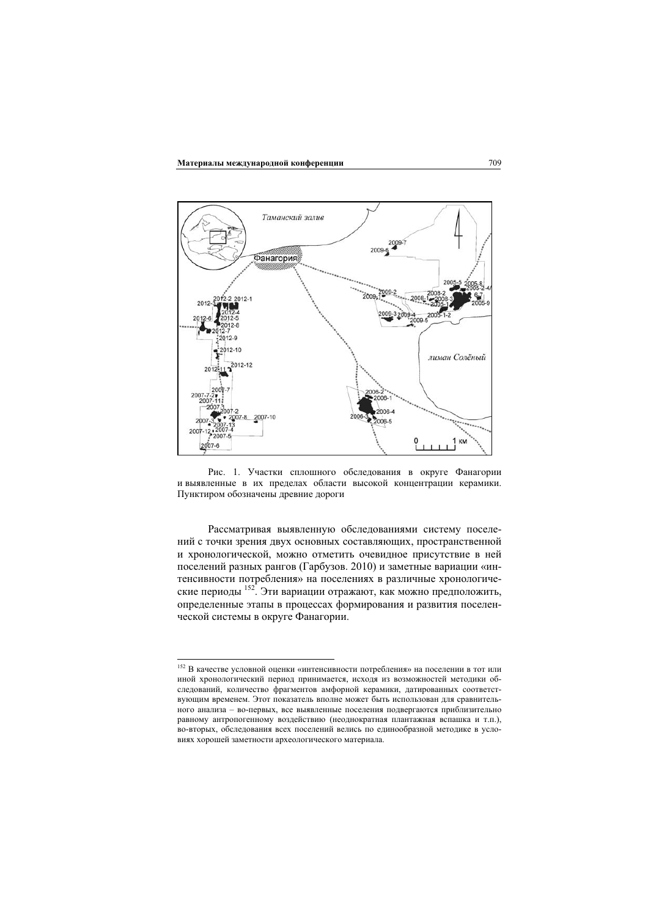

Рис. 1. Участки сплошного обследования в округе Фанагории и выявленные в их пределах области высокой концентрации керамики. Пунктиром обозначены древние дороги

Рассматривая выявленную обследованиями систему поселений с точки зрения двух основных составляющих, пространственной и хронологической, можно отметить очевидное присутствие в ней поселений разных рангов (Гарбузов. 2010) и заметные вариации «интенсивности потребления» на поселениях в различные хронологические периоды <sup>152</sup>. Эти вариации отражают, как можно предположить, определенные этапы в процессах формирования и развития поселенческой системы в округе Фанагории.

 $^{152}$ В качестве условной оценки «интенсивности потребления» на поселении в тот или иной хронологический периол принимается, исхоля из возможностей метолики обследований, количество фрагментов амфорной керамики, датированных соответствующим временем. Этот показатель вполне может быть использован для сравнитель-• ного анализа – во-первых, все выявленные поселения подвергаются приблизительно равному антропогенному воздействию (неоднократная плантажная вспашка и т.п.), во-вторых, обследования всех поселений велись по единообразной методике в условиях хорошей заметности археологического материала.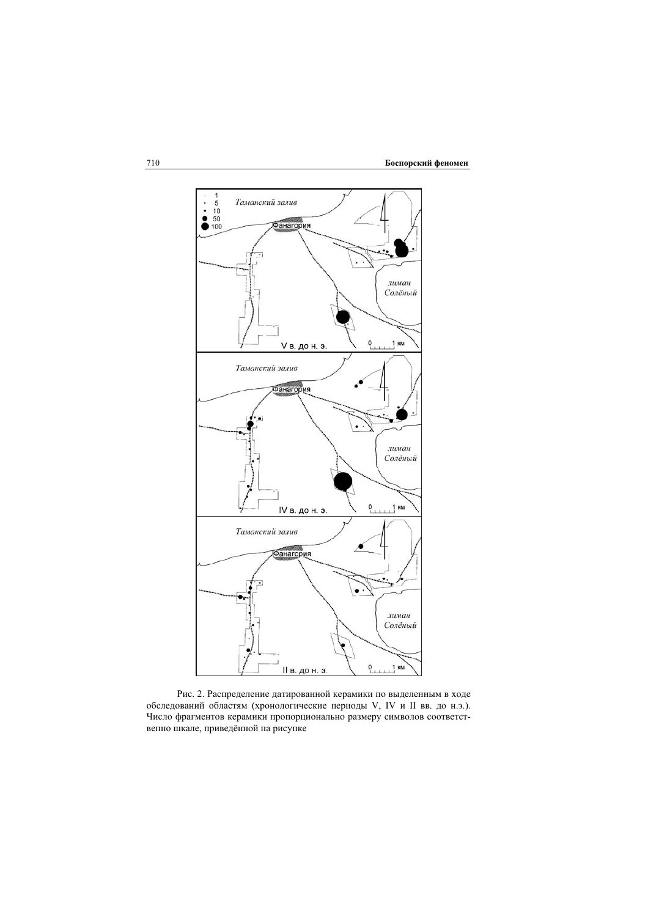710 **Боспорский феномен** 



Рис. 2. Распределение датированной керамики по выделенным в ходе обследований областям (хронологические периоды V, IV и II вв. до н.э.). Число фрагментов керамики пропорционально размеру символов соответственно шкале, приведённой на рисунке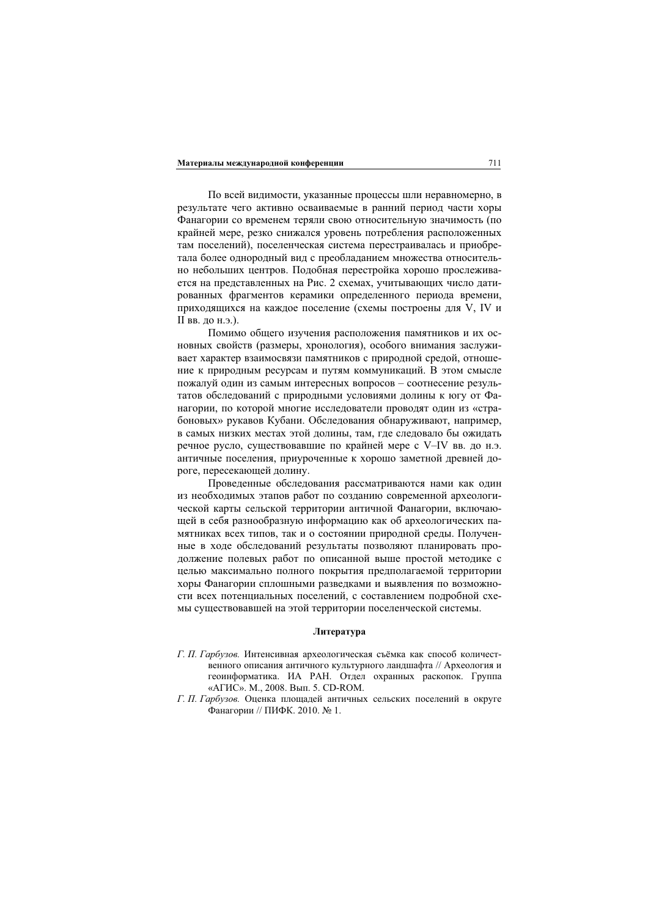По всей видимости, указанные процессы шли неравномерно, в результате чего активно осваиваемые в ранний период части хоры Фанагории со временем теряли свою относительную значимость (по крайней мере, резко снижался уровень потребления расположенных там поселений), поселенческая система перестраивалась и приобретала более однородный вид с преобладанием множества относительно небольших центров. Подобная перестройка хорошо прослеживается на представленных на Рис. 2 схемах, учитывающих число датированных фрагментов керамики определенного периода времени, приходящихся на каждое поселение (схемы построены для V, IV и II вв. до н.э.).

Помимо общего изучения расположения памятников и их основных свойств (размеры, хронология), особого внимания заслуживает характер взаимосвязи памятников с природной средой, отношение к природным ресурсам и путям коммуникаций. В этом смысле пожалуй один из самым интересных вопросов – соотнесение результатов обследований с природными условиями долины к югу от Фанагории, по которой многие исследователи проводят один из «страбоновых» рукавов Кубани. Обследования обнаруживают, например, в самых низких местах этой долины, там, где следовало бы ожидать речное русло, существовавшие по крайней мере с V–IV вв. до н.э. античные поселения, приуроченные к хорошо заметной древней дороге, пересекающей долину.

Проведенные обследования рассматриваются нами как один из необходимых этапов работ по созданию современной археологической карты сельской территории античной Фанагории, включающей в себя разнообразную информацию как об археологических памятниках всех типов, так и о состоянии природной среды. Полученные в ходе обследований результаты позволяют планировать продолжение полевых работ по описанной выше простой методике с целью максимально полного покрытия предполагаемой территории хоры Фанагории сплошными разведками и выявления по возможности всех потенциальных поселений, с составлением подробной схемы существовавшей на этой территории поселенческой системы.

#### **Литература**

- $\Gamma$ .  $\Pi$ . Гарбузов. Интенсивная археологическая съёмка как способ количественного описания античного культурного ландшафта // Археология и геоинформатика. ИА РАН. Отлел охранных раскопок. Группа «АГИС». М., 2008. Вып. 5. CD-ROM.
- *Г*. *П*. Гарбузов. Оценка площадей античных сельских поселений в округе Фанагории // ПИФК. 2010. № 1.